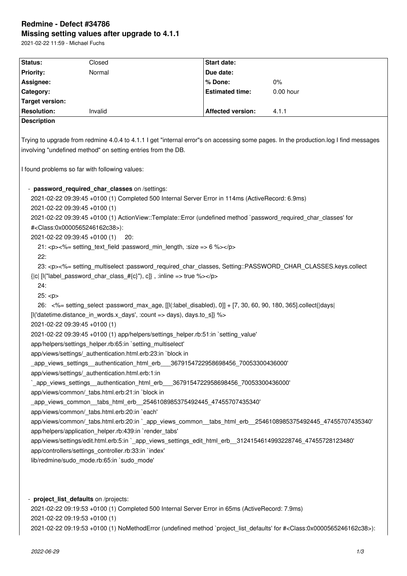# **Redmine - Defect #34786 Missing setting values after upgrade to 4.1.1**

2021-02-22 11:59 - Michael Fuchs

| Status:                                                               | Closed                                                                                                                                                                                                                                                                                                                                                                                                                                                                                                                                                                                                                                                                                                                                                                                                                                                                                                                                                                                                                                                                                                                                                                                                                                                                                                                                                                                                                                                  | Start date:              |           |
|-----------------------------------------------------------------------|---------------------------------------------------------------------------------------------------------------------------------------------------------------------------------------------------------------------------------------------------------------------------------------------------------------------------------------------------------------------------------------------------------------------------------------------------------------------------------------------------------------------------------------------------------------------------------------------------------------------------------------------------------------------------------------------------------------------------------------------------------------------------------------------------------------------------------------------------------------------------------------------------------------------------------------------------------------------------------------------------------------------------------------------------------------------------------------------------------------------------------------------------------------------------------------------------------------------------------------------------------------------------------------------------------------------------------------------------------------------------------------------------------------------------------------------------------|--------------------------|-----------|
| <b>Priority:</b>                                                      | Normal                                                                                                                                                                                                                                                                                                                                                                                                                                                                                                                                                                                                                                                                                                                                                                                                                                                                                                                                                                                                                                                                                                                                                                                                                                                                                                                                                                                                                                                  | Due date:                |           |
| Assignee:                                                             |                                                                                                                                                                                                                                                                                                                                                                                                                                                                                                                                                                                                                                                                                                                                                                                                                                                                                                                                                                                                                                                                                                                                                                                                                                                                                                                                                                                                                                                         | % Done:                  | $0\%$     |
| Category:                                                             |                                                                                                                                                                                                                                                                                                                                                                                                                                                                                                                                                                                                                                                                                                                                                                                                                                                                                                                                                                                                                                                                                                                                                                                                                                                                                                                                                                                                                                                         | <b>Estimated time:</b>   | 0.00 hour |
| Target version:                                                       |                                                                                                                                                                                                                                                                                                                                                                                                                                                                                                                                                                                                                                                                                                                                                                                                                                                                                                                                                                                                                                                                                                                                                                                                                                                                                                                                                                                                                                                         |                          |           |
| <b>Resolution:</b>                                                    | Invalid                                                                                                                                                                                                                                                                                                                                                                                                                                                                                                                                                                                                                                                                                                                                                                                                                                                                                                                                                                                                                                                                                                                                                                                                                                                                                                                                                                                                                                                 | <b>Affected version:</b> | 4.1.1     |
| <b>Description</b>                                                    |                                                                                                                                                                                                                                                                                                                                                                                                                                                                                                                                                                                                                                                                                                                                                                                                                                                                                                                                                                                                                                                                                                                                                                                                                                                                                                                                                                                                                                                         |                          |           |
| 2021-02-22 09:39:45 +0100 (1)<br>2021-02-22 09:39:45 +0100 (1)<br>22: | Trying to upgrade from redmine 4.0.4 to 4.1.1 I get "internal error"s on accessing some pages. In the production.log I find messages<br>involving "undefined method" on setting entries from the DB.<br>I found problems so far with following values:<br>- password_required_char_classes on /settings:<br>2021-02-22 09:39:45 +0100 (1) Completed 500 Internal Server Error in 114ms (ActiveRecord: 6.9ms)<br>2021-02-22 09:39:45 +0100 (1) ActionView::Template::Error (undefined method `password_required_char_classes' for<br># <class:0x0000565246162c38>):<br/>20:<br/>21: <p>&lt;%= setting text field :password min length, :size =&gt; 6 %&gt;</p></class:0x0000565246162c38>                                                                                                                                                                                                                                                                                                                                                                                                                                                                                                                                                                                                                                                                                                                                                                |                          |           |
| 24:<br>25: <p><br/>2021-02-22 09:39:45 +0100 (1)</p>                  | 23: <p>&lt;%= setting_multiselect :password_required_char_classes, Setting::PASSWORD_CHAR_CLASSES.keys.collect<br/><math>[ c </math> [l("label_password_char_class_#<math>[c]</math>"), c]}, :inline =&gt; true %&gt;</p><br>26: <%= setting_select :password_max_age, [[I(:label_disabled), 0]] + [7, 30, 60, 90, 180, 365].collect{ days <br>[I('datetime.distance_in_words.x_days', :count => days), days.to_s]} %><br>2021-02-22 09:39:45 +0100 (1) app/helpers/settings_helper.rb:51:in `setting_value'<br>app/helpers/settings_helper.rb:65:in `setting_multiselect'<br>app/views/settings/_authentication.html.erb:23:in `block in<br>_app_views_settings__authentication_html_erb___3679154722958698456_70053300436000'<br>app/views/settings/ authentication.html.erb:1:in<br>`_app_views_settings__authentication_html_erb___3679154722958698456_70053300436000'<br>app/views/common/ tabs.html.erb:21:in `block in<br>_app_views_common__tabs_html_erb__2546108985375492445_47455707435340'<br>app/views/common/_tabs.html.erb:20:in `each'<br>app/views/common/_tabs.html.erb:20:in `_app_views_common__tabs_html_erb__2546108985375492445_47455707435340'<br>app/helpers/application helper.rb:439:in `render tabs'<br>app/views/settings/edit.html.erb:5:in `_app_views_settings_edit_html_erb__3124154614993228746_47455728123480'<br>app/controllers/settings_controller.rb:33:in `index'<br>lib/redmine/sudo_mode.rb:65:in `sudo_mode' |                          |           |
|                                                                       | - project_list_defaults on /projects:<br>2021-02-22 09:19:53 +0100 (1) Completed 500 Internal Server Error in 65ms (ActiveRecord: 7.9ms)                                                                                                                                                                                                                                                                                                                                                                                                                                                                                                                                                                                                                                                                                                                                                                                                                                                                                                                                                                                                                                                                                                                                                                                                                                                                                                                |                          |           |

2021-02-22 09:19:53 +0100 (1)

2021-02-22 09:19:53 +0100 (1) NoMethodError (undefined method `project\_list\_defaults' for #<Class:0x0000565246162c38>):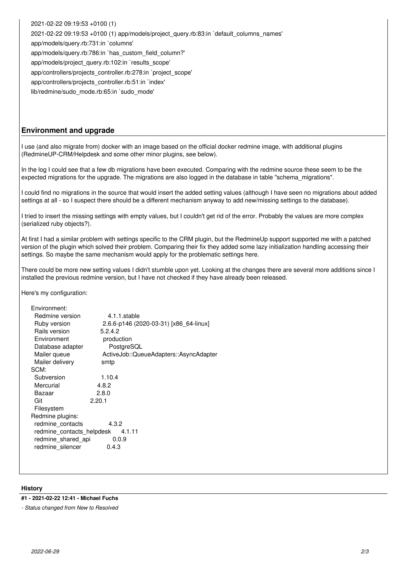2021-02-22 09:19:53 +0100 (1) 2021-02-22 09:19:53 +0100 (1) app/models/project\_query.rb:83:in `default\_columns\_names' app/models/query.rb:731:in `columns' app/models/query.rb:786:in `has\_custom\_field\_column?' app/models/project\_query.rb:102:in `results\_scope' app/controllers/projects\_controller.rb:278:in `project\_scope' app/controllers/projects\_controller.rb:51:in `index' lib/redmine/sudo\_mode.rb:65:in `sudo\_mode'

## **Environment and upgrade**

I use (and also migrate from) docker with an image based on the official docker redmine image, with additional plugins (RedmineUP-CRM/Helpdesk and some other minor plugins, see below).

In the log I could see that a few db migrations have been executed. Comparing with the redmine source these seem to be the expected migrations for the upgrade. The migrations are also logged in the database in table "schema\_migrations".

I could find no migrations in the source that would insert the added setting values (although I have seen no migrations about added settings at all - so I suspect there should be a different mechanism anyway to add new/missing settings to the database).

I tried to insert the missing settings with empty values, but I couldn't get rid of the error. Probably the values are more complex (serialized ruby objects?).

At first I had a similar problem with settings specific to the CRM plugin, but the RedmineUp support supported me with a patched version of the plugin which solved their problem. Comparing their fix they added some lazy initialization handling accessing their settings. So maybe the same mechanism would apply for the problematic settings here.

There could be more new setting values I didn't stumble upon yet. Looking at the changes there are several more additions since I installed the previous redmine version, but I have not checked if they have already been released.

Here's my configuration:

| Environment:                        |                                        |  |  |  |
|-------------------------------------|----------------------------------------|--|--|--|
| Redmine version                     | 4.1.1.stable                           |  |  |  |
| Ruby version                        | 2.6.6-p146 (2020-03-31) [x86_64-linux] |  |  |  |
| Rails version                       | 5.2.4.2                                |  |  |  |
| Environment                         | production                             |  |  |  |
| Database adapter                    | PostgreSQL                             |  |  |  |
| Mailer queue                        | ActiveJob::QueueAdapters::AsyncAdapter |  |  |  |
| Mailer delivery                     | smtp                                   |  |  |  |
| SCM:                                |                                        |  |  |  |
| Subversion                          | 1.10.4                                 |  |  |  |
| Mercurial                           | 4.8.2                                  |  |  |  |
| Bazaar                              | 2.8.0                                  |  |  |  |
| Git                                 | 2.20.1                                 |  |  |  |
| Filesystem                          |                                        |  |  |  |
| Redmine plugins:                    |                                        |  |  |  |
| redmine contacts<br>4.3.2           |                                        |  |  |  |
| redmine contacts helpdesk<br>4.1.11 |                                        |  |  |  |
| redmine shared api<br>0.0.9         |                                        |  |  |  |
| redmine silencer<br>0.4.3           |                                        |  |  |  |
|                                     |                                        |  |  |  |

### **History**

## **#1 - 2021-02-22 12:41 - Michael Fuchs**

*- Status changed from New to Resolved*